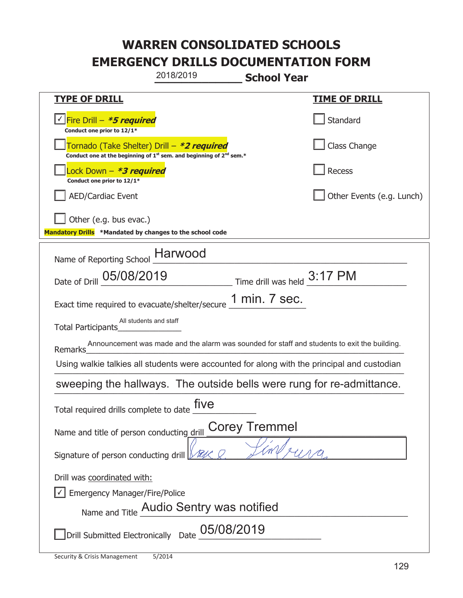|                                                                                                                | 2018/2019                                                                                                                                 | <b>School Year</b>           |                           |  |
|----------------------------------------------------------------------------------------------------------------|-------------------------------------------------------------------------------------------------------------------------------------------|------------------------------|---------------------------|--|
| <u>TYPE OF DRILL</u>                                                                                           |                                                                                                                                           |                              | <b>TIME OF DRILL</b>      |  |
| <u>√ Fire Drill – *5 required</u><br>Conduct one prior to 12/1*                                                |                                                                                                                                           |                              | Standard                  |  |
|                                                                                                                | Tornado (Take Shelter) Drill – *2 required<br>Conduct one at the beginning of 1 <sup>st</sup> sem. and beginning of 2 <sup>nd</sup> sem.* |                              | <b>Class Change</b>       |  |
| ock Down – <b>*3 required</b><br>Conduct one prior to 12/1*                                                    |                                                                                                                                           |                              | Recess                    |  |
| <b>AED/Cardiac Event</b>                                                                                       |                                                                                                                                           |                              | Other Events (e.g. Lunch) |  |
| Other (e.g. bus evac.)<br>Mandatory Drills *Mandated by changes to the school code                             |                                                                                                                                           |                              |                           |  |
| Name of Reporting School __ Harwood                                                                            |                                                                                                                                           |                              |                           |  |
| Date of Drill 05/08/2019                                                                                       |                                                                                                                                           | Time drill was held _3:17 PM |                           |  |
| Exact time required to evacuate/shelter/secure $\underline{\hspace{1em} 1}$ min. 7 Sec.                        |                                                                                                                                           |                              |                           |  |
| Total Participants                                                                                             | All students and staff                                                                                                                    |                              |                           |  |
| Announcement was made and the alarm was sounded for staff and students to exit the building.<br><b>Remarks</b> |                                                                                                                                           |                              |                           |  |
| Using walkie talkies all students were accounted for along with the principal and custodian                    |                                                                                                                                           |                              |                           |  |
| sweeping the hallways. The outside bells were rung for re-admittance.                                          |                                                                                                                                           |                              |                           |  |
| five<br>Total required drills complete to date                                                                 |                                                                                                                                           |                              |                           |  |
| <b>Corey Tremmel</b><br>Name and title of person conducting drill                                              |                                                                                                                                           |                              |                           |  |
| Signature of person conducting drill $\sqrt{\mathbb{Z}/\mathbb{Z}}$                                            |                                                                                                                                           |                              |                           |  |
| Drill was coordinated with:<br><b>Emergency Manager/Fire/Police</b>                                            | Name and Title Audio Sentry was notified                                                                                                  |                              |                           |  |
|                                                                                                                | Drill Submitted Electronically Date 05/08/2019                                                                                            |                              |                           |  |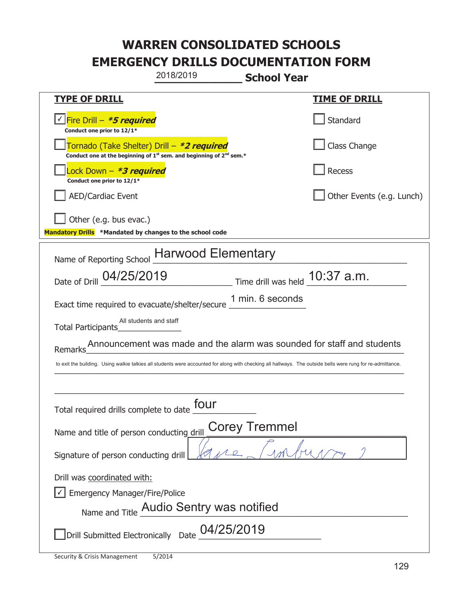|                                                                                    | 2018/2019                                                                     | <b>School Year</b>                                                                                                                                          |  |
|------------------------------------------------------------------------------------|-------------------------------------------------------------------------------|-------------------------------------------------------------------------------------------------------------------------------------------------------------|--|
| <b>TYPE OF DRILL</b>                                                               |                                                                               | <u>TIME OF DRILL</u>                                                                                                                                        |  |
| Fire Drill - *5 required<br>Conduct one prior to 12/1*                             |                                                                               | Standard                                                                                                                                                    |  |
| Tornado (Take Shelter) Drill – *2 required                                         | Conduct one at the beginning of $1^{st}$ sem. and beginning of $2^{nd}$ sem.* | Class Change                                                                                                                                                |  |
| ock Down – <b>*3 required</b><br>Conduct one prior to 12/1*                        |                                                                               | <b>Recess</b>                                                                                                                                               |  |
| <b>AED/Cardiac Event</b>                                                           |                                                                               | Other Events (e.g. Lunch)                                                                                                                                   |  |
| Other (e.g. bus evac.)<br>Mandatory Drills *Mandated by changes to the school code |                                                                               |                                                                                                                                                             |  |
|                                                                                    | Name of Reporting School Harwood Elementary                                   |                                                                                                                                                             |  |
|                                                                                    |                                                                               | Date of Drill $04/25/2019$ Time drill was held $10:37$ a.m.                                                                                                 |  |
| Exact time required to evacuate/shelter/secure _                                   |                                                                               | 1 min. 6 seconds                                                                                                                                            |  |
| All students and staff<br>Total Participants                                       |                                                                               |                                                                                                                                                             |  |
| Remarks                                                                            |                                                                               | Announcement was made and the alarm was sounded for staff and students                                                                                      |  |
|                                                                                    |                                                                               | to exit the building. Using walkie talkies all students were accounted for along with checking all hallways. The outside bells were rung for re-admittance. |  |
|                                                                                    |                                                                               |                                                                                                                                                             |  |
| four<br>Total required drills complete to date                                     |                                                                               |                                                                                                                                                             |  |
| <b>Corey Tremmel</b><br>Name and title of person conducting drill                  |                                                                               |                                                                                                                                                             |  |
| Signature of person conducting drill                                               |                                                                               |                                                                                                                                                             |  |
| Drill was coordinated with:                                                        |                                                                               |                                                                                                                                                             |  |
| <b>Emergency Manager/Fire/Police</b>                                               |                                                                               |                                                                                                                                                             |  |
|                                                                                    | Name and Title Audio Sentry was notified                                      |                                                                                                                                                             |  |
| Drill Submitted Electronically Date                                                | 04/25/2019                                                                    |                                                                                                                                                             |  |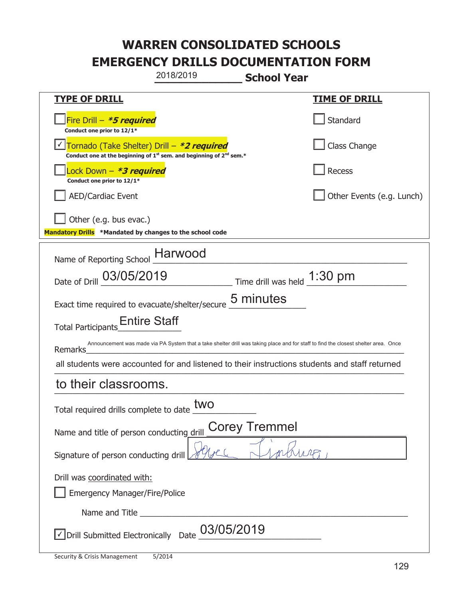| 2018/2019                                                                                                                                 | <b>School Year</b>                                                                                                                  |  |  |
|-------------------------------------------------------------------------------------------------------------------------------------------|-------------------------------------------------------------------------------------------------------------------------------------|--|--|
| <b>TYPE OF DRILL</b>                                                                                                                      | <b>TIME OF DRILL</b>                                                                                                                |  |  |
| Fire Drill $-$ <b>*5 required</b><br>Conduct one prior to 12/1*                                                                           | Standard                                                                                                                            |  |  |
| Tornado (Take Shelter) Drill – *2 required<br>Conduct one at the beginning of 1 <sup>st</sup> sem. and beginning of 2 <sup>nd</sup> sem.* | Class Change                                                                                                                        |  |  |
| Lock Down – <b>*<i>3 required</i></b><br>Conduct one prior to 12/1*                                                                       | Recess                                                                                                                              |  |  |
| <b>AED/Cardiac Event</b>                                                                                                                  | Other Events (e.g. Lunch)                                                                                                           |  |  |
| Other (e.g. bus evac.)<br>Mandatory Drills *Mandated by changes to the school code                                                        |                                                                                                                                     |  |  |
| Name of Reporting School __ Harwood                                                                                                       |                                                                                                                                     |  |  |
| Date of Drill 03/05/2019                                                                                                                  | $\frac{1:30 \text{ pm}}{2}$ Time drill was held $\frac{1:30 \text{ pm}}{2}$                                                         |  |  |
| Exact time required to evacuate/shelter/secure 5 minutes                                                                                  |                                                                                                                                     |  |  |
| Total Participants_Entire Staff                                                                                                           |                                                                                                                                     |  |  |
| Remarks                                                                                                                                   | Announcement was made via PA System that a take shelter drill was taking place and for staff to find the closest shelter area. Once |  |  |
|                                                                                                                                           | all students were accounted for and listened to their instructions students and staff returned                                      |  |  |
| to their classrooms.                                                                                                                      |                                                                                                                                     |  |  |
| two<br>Total required drills complete to date                                                                                             |                                                                                                                                     |  |  |
| <b>Corey Tremmel</b><br>Name and title of person conducting drill                                                                         |                                                                                                                                     |  |  |
| Signature of person conducting drill                                                                                                      |                                                                                                                                     |  |  |
| Drill was coordinated with:<br><b>Emergency Manager/Fire/Police</b>                                                                       |                                                                                                                                     |  |  |
|                                                                                                                                           |                                                                                                                                     |  |  |
| $\sqrt{\phantom{a}}$ Drill Submitted Electronically Date $\underline{\phantom{a}03/05/2019}$                                              |                                                                                                                                     |  |  |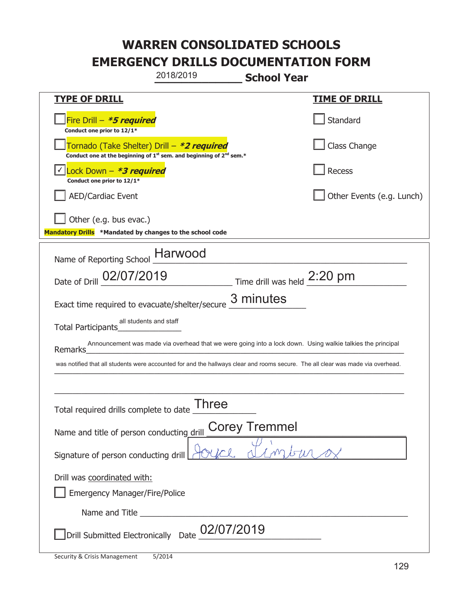|                                                                                                                                 | 2018/2019                                                                                   | <b>School Year</b> |                                                                                                            |
|---------------------------------------------------------------------------------------------------------------------------------|---------------------------------------------------------------------------------------------|--------------------|------------------------------------------------------------------------------------------------------------|
| <u>TYPE OF DRILL</u>                                                                                                            |                                                                                             |                    | <u>TIME OF DRILL</u>                                                                                       |
| Fire Drill - *5 required<br>Conduct one prior to 12/1*                                                                          |                                                                                             |                    | Standard                                                                                                   |
| Tornado (Take Shelter) Drill – *2 required                                                                                      | Conduct one at the beginning of 1 <sup>st</sup> sem. and beginning of 2 <sup>nd</sup> sem.* |                    | Class Change                                                                                               |
| Lock Down – <b>*3 required</b><br>Conduct one prior to 12/1*                                                                    |                                                                                             |                    | Recess                                                                                                     |
| <b>AED/Cardiac Event</b>                                                                                                        |                                                                                             |                    | Other Events (e.g. Lunch)                                                                                  |
| Other (e.g. bus evac.)<br>Mandatory Drills *Mandated by changes to the school code                                              |                                                                                             |                    |                                                                                                            |
| Name of Reporting School __ Harwood                                                                                             |                                                                                             |                    |                                                                                                            |
| Date of Drill 02/07/2019 Time drill was held 2:20 pm                                                                            |                                                                                             |                    |                                                                                                            |
| Exact time required to evacuate/shelter/secure                                                                                  |                                                                                             | 3 minutes          |                                                                                                            |
| all students and staff<br>Total Participants                                                                                    |                                                                                             |                    |                                                                                                            |
| Remarks                                                                                                                         |                                                                                             |                    | Announcement was made via overhead that we were going into a lock down. Using walkie talkies the principal |
| was notified that all students were accounted for and the hallways clear and rooms secure. The all clear was made via overhead. |                                                                                             |                    |                                                                                                            |
|                                                                                                                                 |                                                                                             |                    |                                                                                                            |
| Total required drills complete to date                                                                                          | Three                                                                                       |                    |                                                                                                            |
| <b>Corey Tremmel</b><br>Name and title of person conducting drill                                                               |                                                                                             |                    |                                                                                                            |
| Signature of person conducting drill                                                                                            |                                                                                             |                    |                                                                                                            |
| Drill was coordinated with:                                                                                                     |                                                                                             |                    |                                                                                                            |
| <b>Emergency Manager/Fire/Police</b>                                                                                            |                                                                                             |                    |                                                                                                            |
|                                                                                                                                 |                                                                                             |                    |                                                                                                            |
| Drill Submitted Electronically Date                                                                                             | 02/07/2019                                                                                  |                    |                                                                                                            |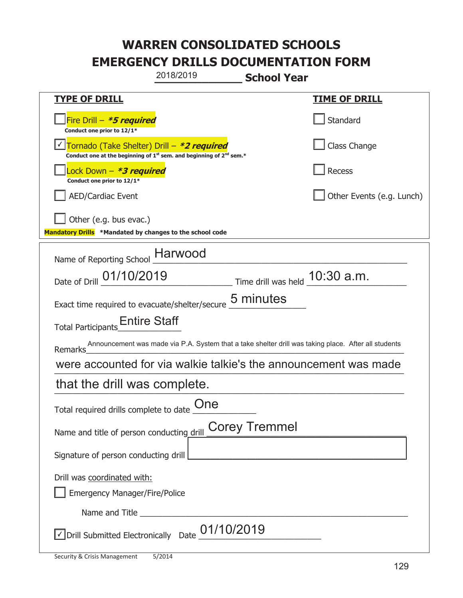| 2018/2019<br><b>School Year</b>                                                                                                           |                                            |  |  |
|-------------------------------------------------------------------------------------------------------------------------------------------|--------------------------------------------|--|--|
| <b>TYPE OF DRILL</b>                                                                                                                      | <b>TIME OF DRILL</b>                       |  |  |
| Fire Drill - *5 required<br>Conduct one prior to 12/1*                                                                                    | Standard                                   |  |  |
| Tornado (Take Shelter) Drill – *2 required<br>Conduct one at the beginning of 1 <sup>st</sup> sem. and beginning of 2 <sup>nd</sup> sem.* | Class Change                               |  |  |
| Lock Down – <b>*<i>3 required</i></b><br>Conduct one prior to 12/1*                                                                       | Recess                                     |  |  |
| <b>AED/Cardiac Event</b>                                                                                                                  | Other Events (e.g. Lunch)                  |  |  |
| Other (e.g. bus evac.)<br>Mandatory Drills *Mandated by changes to the school code                                                        |                                            |  |  |
| Name of Reporting School __ Harwood                                                                                                       |                                            |  |  |
| Date of Drill 01/10/2019                                                                                                                  | $\_$ Time drill was held $\_$ 10:30 $a.m.$ |  |  |
| 5 minutes<br>Exact time required to evacuate/shelter/secure                                                                               |                                            |  |  |
| Total Participants <sub>__</sub> Entire Staff                                                                                             |                                            |  |  |
| Announcement was made via P.A. System that a take shelter drill was taking place. After all students<br>Remarks                           |                                            |  |  |
| were accounted for via walkie talkie's the announcement was made                                                                          |                                            |  |  |
| that the drill was complete.                                                                                                              |                                            |  |  |
| Total required drills complete to date $\frac{\text{One}}{\text{The}}$                                                                    |                                            |  |  |
| <b>Corey Tremmel</b><br>Name and title of person conducting drill                                                                         |                                            |  |  |
| Signature of person conducting drill                                                                                                      |                                            |  |  |
| Drill was coordinated with:<br><b>Emergency Manager/Fire/Police</b>                                                                       |                                            |  |  |
|                                                                                                                                           |                                            |  |  |
| $\sqrt{2}$ Drill Submitted Electronically Date $\underline{01/10/2019}$                                                                   |                                            |  |  |

t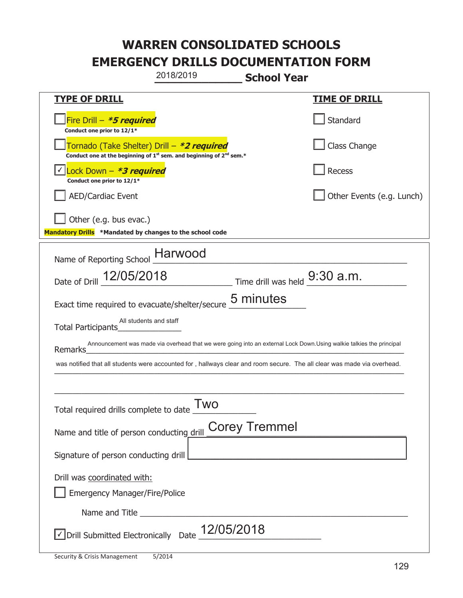|                                                                                                                                           | 2018/2019 | <b>School Year</b>   |                                                                                                                     |
|-------------------------------------------------------------------------------------------------------------------------------------------|-----------|----------------------|---------------------------------------------------------------------------------------------------------------------|
| <b>TYPE OF DRILL</b>                                                                                                                      |           |                      | <u>TIME OF DRILL</u>                                                                                                |
| Fire Drill - *5 required<br>Conduct one prior to 12/1*                                                                                    |           |                      | Standard                                                                                                            |
| Tornado (Take Shelter) Drill – *2 required<br>Conduct one at the beginning of 1 <sup>st</sup> sem. and beginning of 2 <sup>nd</sup> sem.* |           |                      | Class Change                                                                                                        |
| Lock Down - <b>*3 required</b><br>Conduct one prior to 12/1*                                                                              |           |                      | Recess                                                                                                              |
| <b>AED/Cardiac Event</b>                                                                                                                  |           |                      | Other Events (e.g. Lunch)                                                                                           |
| Other (e.g. bus evac.)<br>Mandatory Drills *Mandated by changes to the school code                                                        |           |                      |                                                                                                                     |
| Name of Reporting School __ Harwood                                                                                                       |           |                      |                                                                                                                     |
| Date of Drill $12/05/2018$ Time drill was held $9:30$ a.m.                                                                                |           |                      |                                                                                                                     |
| Exact time required to evacuate/shelter/secure                                                                                            |           | 5 minutes            |                                                                                                                     |
| All students and staff<br>Total Participants                                                                                              |           |                      |                                                                                                                     |
| Remarks                                                                                                                                   |           |                      | Announcement was made via overhead that we were going into an external Lock Down.Using walkie talkies the principal |
| was notified that all students were accounted for , hallways clear and room secure. The all clear was made via overhead.                  |           |                      |                                                                                                                     |
|                                                                                                                                           |           |                      |                                                                                                                     |
| Total required drills complete to date                                                                                                    | Two       |                      |                                                                                                                     |
| Name and title of person conducting drill                                                                                                 |           | <b>Corey Tremmel</b> |                                                                                                                     |
| Signature of person conducting drill                                                                                                      |           |                      |                                                                                                                     |
| Drill was coordinated with:<br><b>Emergency Manager/Fire/Police</b>                                                                       |           |                      |                                                                                                                     |
|                                                                                                                                           |           |                      |                                                                                                                     |
| JDrill Submitted Electronically Date $\_12/05/2018$                                                                                       |           |                      |                                                                                                                     |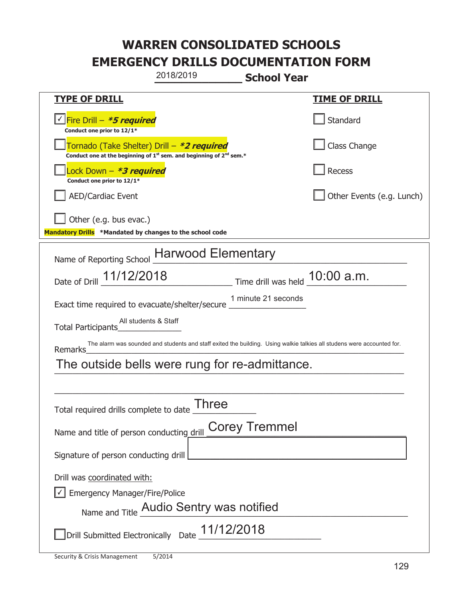|                                                                                    | 2018/2019                                                                                                              | <b>School Year</b>   |                                  |
|------------------------------------------------------------------------------------|------------------------------------------------------------------------------------------------------------------------|----------------------|----------------------------------|
| <u>TYPE OF DRILL</u>                                                               |                                                                                                                        |                      | <u>TIME OF DRILL</u>             |
| <u>√ Fire Drill – <i>*5 required</i></u><br>Conduct one prior to 12/1*             |                                                                                                                        |                      | Standard                         |
| Tornado (Take Shelter) Drill – *2 required                                         | Conduct one at the beginning of $1^{st}$ sem. and beginning of $2^{nd}$ sem.*                                          |                      | Class Change                     |
| Lock Down - *3 required<br>Conduct one prior to 12/1*                              |                                                                                                                        |                      | Recess                           |
| <b>AED/Cardiac Event</b>                                                           |                                                                                                                        |                      | Other Events (e.g. Lunch)        |
| Other (e.g. bus evac.)<br>Mandatory Drills *Mandated by changes to the school code |                                                                                                                        |                      |                                  |
| Name of Reporting School                                                           | <b>Harwood Elementary</b>                                                                                              |                      |                                  |
| Date of Drill 11/12/2018                                                           |                                                                                                                        |                      | Time drill was held $10:00$ a.m. |
| Exact time required to evacuate/shelter/secure _                                   |                                                                                                                        | 1 minute 21 seconds  |                                  |
| All students & Staff<br>Total Participants                                         |                                                                                                                        |                      |                                  |
| Remarks                                                                            | The alarm was sounded and students and staff exited the building. Using walkie talkies all studens were accounted for. |                      |                                  |
| The outside bells were rung for re-admittance.                                     |                                                                                                                        |                      |                                  |
|                                                                                    |                                                                                                                        |                      |                                  |
| <b>Three</b><br>Total required drills complete to date                             |                                                                                                                        |                      |                                  |
| Name and title of person conducting drill                                          |                                                                                                                        | <b>Corey Tremmel</b> |                                  |
| Signature of person conducting drill                                               |                                                                                                                        |                      |                                  |
| Drill was coordinated with:                                                        |                                                                                                                        |                      |                                  |
| <b>Emergency Manager/Fire/Police</b>                                               |                                                                                                                        |                      |                                  |
|                                                                                    | Name and Title Audio Sentry was notified                                                                               |                      |                                  |
|                                                                                    | Drill Submitted Electronically Date $\_11/12/2018$                                                                     |                      |                                  |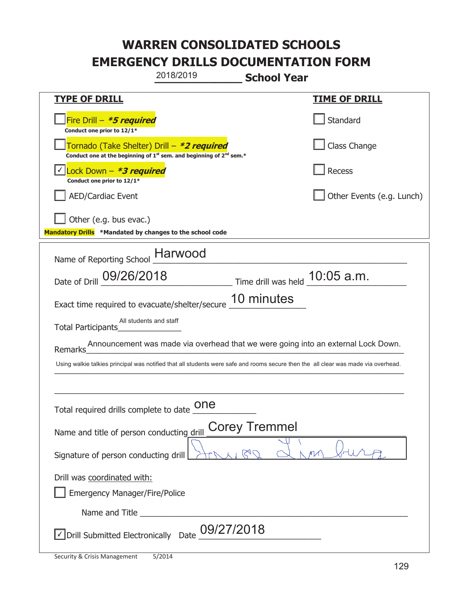| 2018/2019<br><b>School Year</b>                                                                                                           |                           |  |  |
|-------------------------------------------------------------------------------------------------------------------------------------------|---------------------------|--|--|
| <b>TYPE OF DRILL</b>                                                                                                                      | <u>TIME OF DRILL</u>      |  |  |
| Fire Drill - *5 required<br>Conduct one prior to 12/1*                                                                                    | Standard                  |  |  |
| Tornado (Take Shelter) Drill – *2 required<br>Conduct one at the beginning of 1 <sup>st</sup> sem. and beginning of 2 <sup>nd</sup> sem.* | Class Change              |  |  |
| Lock Down - *3 required<br>Conduct one prior to 12/1*                                                                                     | Recess                    |  |  |
| <b>AED/Cardiac Event</b>                                                                                                                  | Other Events (e.g. Lunch) |  |  |
| Other (e.g. bus evac.)<br>Mandatory Drills *Mandated by changes to the school code                                                        |                           |  |  |
| Name of Reporting School _Harwood                                                                                                         |                           |  |  |
| Date of Drill 09/26/2018 Time drill was held 10:05 a.m.                                                                                   |                           |  |  |
| 10 minutes<br>Exact time required to evacuate/shelter/secure                                                                              |                           |  |  |
| All students and staff<br>Total Participants                                                                                              |                           |  |  |
| Announcement was made via overhead that we were going into an external Lock Down.<br>Remarks                                              |                           |  |  |
| Using walkie talkies principal was notified that all students were safe and rooms secure then the all clear was made via overhead.        |                           |  |  |
|                                                                                                                                           |                           |  |  |
| one<br>Total required drills complete to date                                                                                             |                           |  |  |
| <b>Corey Tremmel</b><br>Name and title of person conducting drill                                                                         |                           |  |  |
| Signature of person conducting drill                                                                                                      |                           |  |  |
| Drill was coordinated with:                                                                                                               |                           |  |  |
| <b>Emergency Manager/Fire/Police</b>                                                                                                      |                           |  |  |
|                                                                                                                                           |                           |  |  |
| Drill Submitted Electronically Date $\frac{09/27/2018}{\sqrt{25}}$                                                                        |                           |  |  |